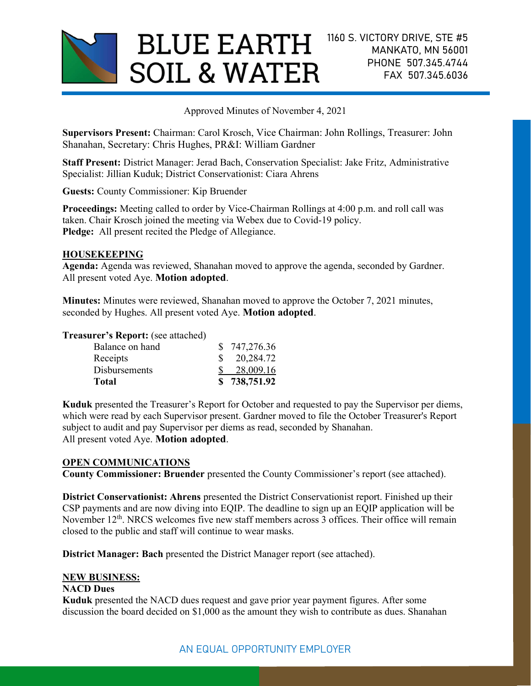

Approved Minutes of November 4, 2021

Supervisors Present: Chairman: Carol Krosch, Vice Chairman: John Rollings, Treasurer: John Shanahan, Secretary: Chris Hughes, PR&I: William Gardner

Staff Present: District Manager: Jerad Bach, Conservation Specialist: Jake Fritz, Administrative Specialist: Jillian Kuduk; District Conservationist: Ciara Ahrens

Guests: County Commissioner: Kip Bruender

Proceedings: Meeting called to order by Vice-Chairman Rollings at 4:00 p.m. and roll call was taken. Chair Krosch joined the meeting via Webex due to Covid-19 policy. Pledge: All present recited the Pledge of Allegiance.

### HOUSEKEEPING

Agenda: Agenda was reviewed, Shanahan moved to approve the agenda, seconded by Gardner. All present voted Aye. Motion adopted.

Minutes: Minutes were reviewed, Shanahan moved to approve the October 7, 2021 minutes, seconded by Hughes. All present voted Aye. Motion adopted.

### Treasurer's Report: (see attached)

| \$738,751.92           |
|------------------------|
| 28,009.16              |
| $\frac{\$}{20,284.72}$ |
| \$747,276.36           |
|                        |

Kuduk presented the Treasurer's Report for October and requested to pay the Supervisor per diems, which were read by each Supervisor present. Gardner moved to file the October Treasurer's Report subject to audit and pay Supervisor per diems as read, seconded by Shanahan. All present voted Aye. Motion adopted.

#### OPEN COMMUNICATIONS

County Commissioner: Bruender presented the County Commissioner's report (see attached).

District Conservationist: Ahrens presented the District Conservationist report. Finished up their CSP payments and are now diving into EQIP. The deadline to sign up an EQIP application will be November 12<sup>th</sup>. NRCS welcomes five new staff members across 3 offices. Their office will remain closed to the public and staff will continue to wear masks.

District Manager: Bach presented the District Manager report (see attached).

#### NEW BUSINESS:

### NACD Dues

Kuduk presented the NACD dues request and gave prior year payment figures. After some discussion the board decided on \$1,000 as the amount they wish to contribute as dues. Shanahan